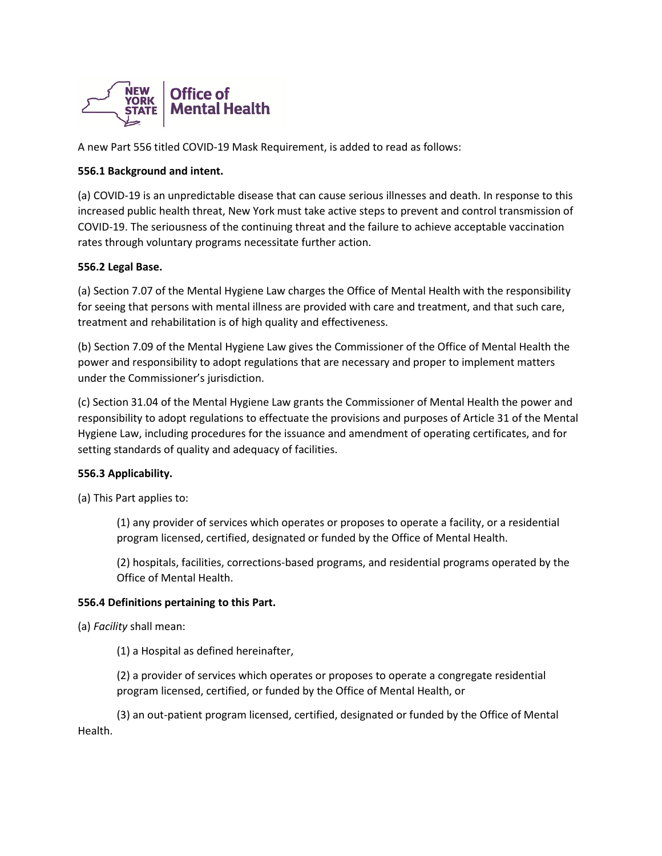

A new Part 556 titled COVID-19 Mask Requirement, is added to read as follows:

# **556.1 Background and intent.**

(a) COVID-19 is an unpredictable disease that can cause serious illnesses and death. In response to this increased public health threat, New York must take active steps to prevent and control transmission of COVID-19. The seriousness of the continuing threat and the failure to achieve acceptable vaccination rates through voluntary programs necessitate further action.

# **556.2 Legal Base.**

(a) Section 7.07 of the Mental Hygiene Law charges the Office of Mental Health with the responsibility for seeing that persons with mental illness are provided with care and treatment, and that such care, treatment and rehabilitation is of high quality and effectiveness.

(b) Section 7.09 of the Mental Hygiene Law gives the Commissioner of the Office of Mental Health the power and responsibility to adopt regulations that are necessary and proper to implement matters under the Commissioner's jurisdiction.

(c) Section 31.04 of the Mental Hygiene Law grants the Commissioner of Mental Health the power and responsibility to adopt regulations to effectuate the provisions and purposes of Article 31 of the Mental Hygiene Law, including procedures for the issuance and amendment of operating certificates, and for setting standards of quality and adequacy of facilities.

### **556.3 Applicability.**

(a) This Part applies to:

(1) any provider of services which operates or proposes to operate a facility, or a residential program licensed, certified, designated or funded by the Office of Mental Health.

(2) hospitals, facilities, corrections-based programs, and residential programs operated by the Office of Mental Health.

### **556.4 Definitions pertaining to this Part.**

(a) *Facility* shall mean:

(1) a Hospital as defined hereinafter,

(2) a provider of services which operates or proposes to operate a congregate residential program licensed, certified, or funded by the Office of Mental Health, or

(3) an out-patient program licensed, certified, designated or funded by the Office of Mental Health.